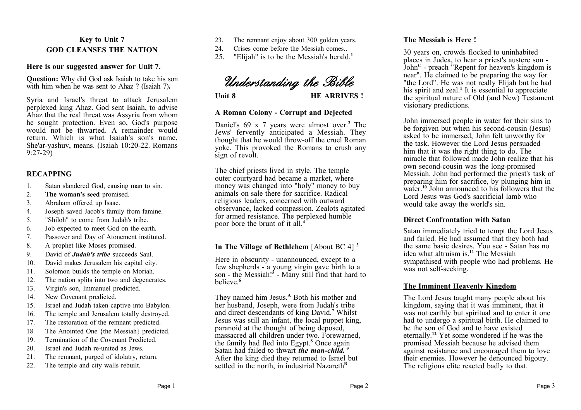# **Key to Unit 7 GOD CLEANSES THE NATION**

### **Here is our suggested answer for Unit 7.**

**Question:** Why did God ask Isaiah to take his son with him when he was sent to Ahaz ? (Isaiah 7)**.**

Syria and Israel's threat to attack Jerusalem perplexed king Ahaz. God sent Isaiah, to advise Ahaz that the real threat was Assyria from whom he sought protection. Even so, God's purpose would not be thwarted. A remainder would return. Which is what Isaiah's son's name, She'ar-yashuv, means. (Isaiah 10:20-22. Romans 9:27-29)

### **RECAPPING**

- 1. Satan slandered God, causing man to sin.
- 2. **The woman's seed** promised.
- 3. Abraham offered up Isaac.
- 4. Joseph saved Jacob's family from famine.
- 5. "Shiloh" to come from Judah's tribe.
- 6. Job expected to meet God on the earth.
- 7. Passover and Day of Atonement instituted.
- 8. A prophet like Moses promised.
- 9. David of *Judah's tribe* succeeds Saul.
- 10. David makes Jerusalem his capital city.
- 11. Solomon builds the temple on Moriah.
- 12. The nation splits into two and degenerates.
- 13. Virgin's son, Immanuel predicted.
- 14. New Covenant predicted.
- 15. Israel and Judah taken captive into Babylon.
- 16. The temple and Jerusalem totally destroyed.
- 17. The restoration of the remnant predicted.
- 18 The Anointed One {the Messiah} predicted.
- 19. Termination of the Covenant Predicted.
- 20. Israel and Judah re-united as Jews.
- 21. The remnant, purged of idolatry, return.
- 22. The temple and city walls rebuilt.
- 23. The remnant enjoy about 300 golden years.
- 24. Crises come before the Messiah comes..
- 25. "Elijah" is to be the Messiah's herald.**<sup>1</sup>**



Unit 8 **HE ARRIVES** !

### **A Roman Colony - Corrupt and Dejected**

Daniel's 69 x 7 years were almost over.**<sup>2</sup>** The Jews' fervently anticipated a Messiah. They thought that he would throw-off the cruel Roman yoke. This provoked the Romans to crush any sign of revolt.

The chief priests lived in style. The temple outer courtyard had became a market, where money was changed into "holy" money to buy animals on sale there for sacrifice. Radical religious leaders, concerned with outward observance, lacked compassion. Zealots agitated for armed resistance. The perplexed humble poor bore the brunt of it all.**<sup>4</sup>**

# **In The Village of Bethlehem** [About BC 4] **<sup>3</sup>**

Here in obscurity - unannounced, except to a few shepherds - a young virgin gave birth to a son - the Messiah!**<sup>5</sup>** - Many still find that hard to believe.**<sup>6</sup>**

They named him Jesus.**<sup>A</sup>** Both his mother and her husband, Joseph, were from Judah's tribe and direct descendants of king David.**<sup>7</sup>** Whilst Jesus was still an infant, the local puppet king, paranoid at the thought of being deposed, massacred all children under two. Forewarned, the family had fled into Egypt.**<sup>8</sup>** Once again Satan had failed to thwart *the man-child.* **<sup>9</sup>** After the king died they returned to Israel but settled in the north, in industrial Nazareth<sup>B</sup>

## **The Messiah is Here !**

30 years on, crowds flocked to uninhabited places in Judea, to hear a priest's austere son - John**<sup>C</sup>** - preach "Repent for heaven's kingdom is near". He claimed to be preparing the way for "the Lord". He was not really Elijah but he had his spirit and zeal.**<sup>1</sup>** It is essential to appreciate the spiritual nature of Old (and New) Testament visionary predictions.

John immersed people in water for their sins to be forgiven but when his second-cousin (Jesus) asked to be immersed, John felt unworthy for the task. However the Lord Jesus persuaded him that it was the right thing to do. The miracle that followed made John realize that his own second-cousin was the long-promised Messiah. John had performed the priest's task of preparing him for sacrifice, by plunging him in water.**<sup>10</sup>** John announced to his followers that the Lord Jesus was God's sacrificial lamb who would take away the world's sin.

# **Direct Confrontation with Satan**

Satan immediately tried to tempt the Lord Jesus and failed. He had assumed that they both had the same basic desires. You see - Satan has no idea what altruism is.**<sup>11</sup>** The Messiah sympathised with people who had problems. He was not self-seeking.

# **The Imminent Heavenly Kingdom**

The Lord Jesus taught many people about his kingdom, saying that it was imminent, that it was not earthly but spiritual and to enter it one had to undergo a spiritual birth. He claimed to be the son of God and to have existed eternally.**<sup>12</sup>** Yet some wondered if he was the promised Messiah because he advised them against resistance and encouraged them to love their enemies. However he denounced bigotry. The religious elite reacted badly to that.